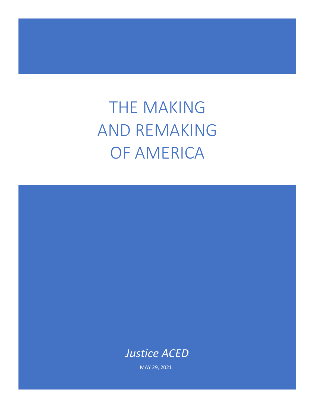THE MAKING AND REMAKING OF AMERICA

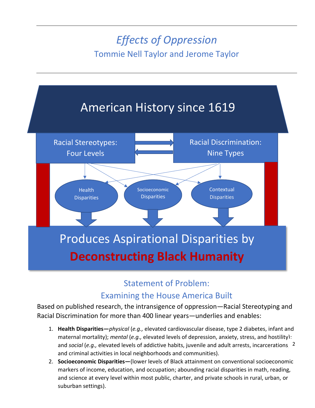# *Effects of Oppression* Tommie Nell Taylor and Jerome Taylor



## Statement of Problem:

## Examining the House America Built

Based on published research, the intransigence of oppression—Racial Stereotyping and Racial Discrimination for more than 400 linear years—underlies and enables:

- 1. **Health Disparities—***physical* (*e.g.,* elevated cardiovascular disease, type 2 diabetes, infant and maternal mortality); *mental* (*e.g.,* elevated levels of depression, anxiety, stress, and hostility); and *social* (*e.g.,* elevated levels of addictive habits, juvenile and adult arrests, incarcerations, 2and criminal activities in local neighborhoods and communities).
- 2. **Socioeconomic Disparities—**(lower levels of Black attainment on conventional socioeconomic markers of income, education, and occupation; abounding racial disparities in math, reading, and science at every level within most public, charter, and private schools in rural, urban, or suburban settings).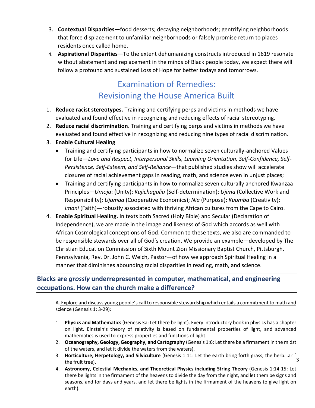- 3. **Contextual Disparities—**food desserts; decaying neighborhoods; gentrifying neighborhoods that force displacement to unfamiliar neighborhoods or falsely promise return to places residents once called home.
- 4. **Aspirational Disparities**—To the extent dehumanizing constructs introduced in 1619 resonate without abatement and replacement in the minds of Black people today, we expect there will follow a profound and sustained Loss of Hope for better todays and tomorrows.

## Examination of Remedies: Revisioning the House America Built

- 1. **Reduce racist stereotypes.** Training and certifying perps and victims in methods we have evaluated and found effective in recognizing and reducing effects of racial stereotyping.
- 2. **Reduce racial discrimination**. Training and certifying perps and victims in methods we have evaluated and found effective in recognizing and reducing nine types of racial discrimination.
- 3. **Enable Cultural Healing**
	- Training and certifying participants in how to normalize seven culturally-anchored Values for Life—*Love and Respect, Interpersonal Skills, Learning Orientation, Self-Confidence, Self-Persistence, Self-Esteem, and Self-Reliance—*that published studies show will accelerate closures of racial achievement gaps in reading, math, and science even in unjust places;
	- Training and certifying participants in how to normalize seven culturally anchored Kwanzaa Principles—*Umoja*: (Unity); *Kujichagulia* (Self-determination); *Ujima* (Collective Work and Responsibility); *Ujamaa* (Cooperative Economics); *Nia* (Purpose); *Kuumba* (Creativity); *Imani* (Faith)**—**robustly associated with thriving African cultures from the Cape to Cairo.
- 4. **Enable Spiritual Healing.** In texts both Sacred (Holy Bible) and Secular (Declaration of Independence), we are made in the image and likeness of God which accords as well with African Cosmological conceptions of God. Common to these texts, we also are commanded to be responsible stewards over all of God's creation. We provide an example—developed by The Christian Education Commission of Sixth Mount Zion Missionary Baptist Church, Pittsburgh, Pennsylvania, Rev. Dr. John C. Welch, Pastor—of how we approach Spiritual Healing in a manner that diminishes abounding racial disparities in reading, math, and science.

### **Blacks are** *grossly* **underrepresented in computer, mathematical, and engineering occupations. How can the church make a difference?**

A. Explore and discuss young people's call to responsible stewardship which entails a commitment to math and science (Genesis 1: 3-29)*:* 

- 1. **Physics and Mathematics** (Genesis 3a: Let there be light). Every introductory book in physics has a chapter on light. Einstein's theory of relativity is based on fundamental properties of light, and advanced mathematics is used to express properties and functions of light.
- 2. **Oceanography, Geology, Geography, and Cartography** (Genesis 1:6: Let there be a firmament in the midst of the waters, and let it divide the waters from the waters).
- 3. **Horticulture, Herpetology, and Silviculture** (Genesis 1:11: Let the earth bring forth grass, the herb...ar i the fruit tree). 3
- 4. **Astronomy, Celestial Mechanics, and Theoretical Physics including String Theory** (Genesis 1:14-15: Let there be lights in the firmament of the heavens to divide the day from the night, and let them be signs and seasons, and for days and years, and let there be lights in the firmament of the heavens to give light on earth).